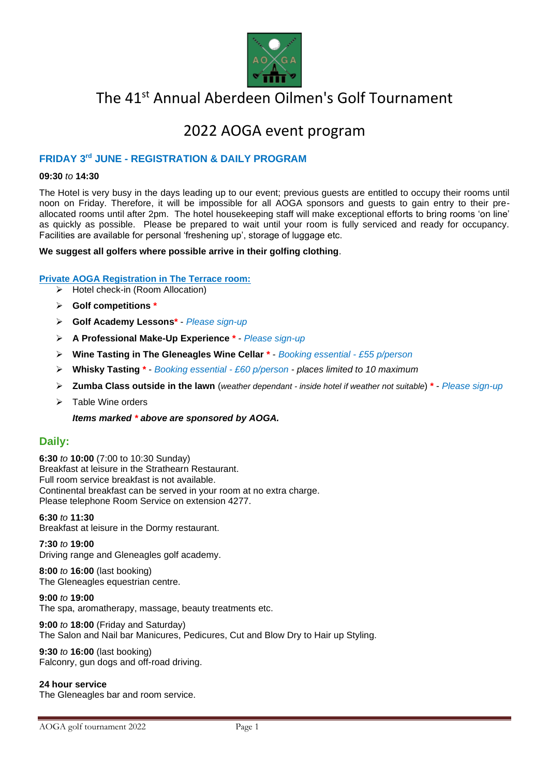

# The 41<sup>st</sup> Annual Aberdeen Oilmen's Golf Tournament

# 2022 AOGA event program

### **FRIDAY 3rd JUNE - REGISTRATION & DAILY PROGRAM**

#### **09:30** *to* **14:30**

The Hotel is very busy in the days leading up to our event; previous guests are entitled to occupy their rooms until noon on Friday. Therefore, it will be impossible for all AOGA sponsors and guests to gain entry to their preallocated rooms until after 2pm. The hotel housekeeping staff will make exceptional efforts to bring rooms 'on line' as quickly as possible. Please be prepared to wait until your room is fully serviced and ready for occupancy. Facilities are available for personal 'freshening up', storage of luggage etc.

#### **We suggest all golfers where possible arrive in their golfing clothing**.

#### **Private AOGA Registration in The Terrace room:**

- ➢ Hotel check-in (Room Allocation)
- ➢ **Golf competitions \***
- ➢ **Golf Academy Lessons\***  *Please sign-up*
- ➢ **A Professional Make-Up Experience \***  *Please sign-up*
- ➢ **Wine Tasting in The Gleneagles Wine Cellar \*** *Booking essential - £55 p/person*
- ➢ **Whisky Tasting \*** *Booking essential - £60 p/person - places limited to 10 maximum*
- ➢ **Zumba Class outside in the lawn** (*weather dependant - inside hotel if weather not suitable*) **\*** *Please sign-up*
- ➢ Table Wine orders
	- *Items marked \* above are sponsored by AOGA.*

#### **Daily:**

**6:30** *to* **10:00** (7:00 to 10:30 Sunday) Breakfast at leisure in the Strathearn Restaurant. Full room service breakfast is not available. Continental breakfast can be served in your room at no extra charge. Please telephone Room Service on extension 4277.

**6:30** *to* **11:30**  Breakfast at leisure in the Dormy restaurant.

### **7:30** *to* **19:00**

Driving range and Gleneagles golf academy.

**8:00** *to* **16:00** (last booking) The Gleneagles equestrian centre.

**9:00** *to* **19:00** 

The spa, aromatherapy, massage, beauty treatments etc.

**9:00** *to* **18:00** (Friday and Saturday) The Salon and Nail bar Manicures, Pedicures, Cut and Blow Dry to Hair up Styling.

**9:30** *to* **16:00** (last booking) Falconry, gun dogs and off-road driving.

**24 hour service**  The Gleneagles bar and room service.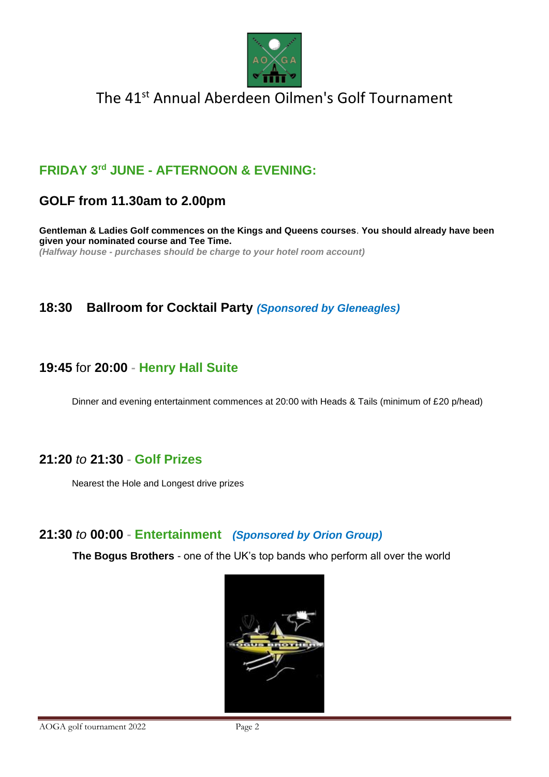

# **FRIDAY 3rd JUNE - AFTERNOON & EVENING:**

## **GOLF from 11.30am to 2.00pm**

**Gentleman & Ladies Golf commences on the Kings and Queens courses**. **You should already have been given your nominated course and Tee Time.**  *(Halfway house - purchases should be charge to your hotel room account)*

## **18:30 Ballroom for Cocktail Party** *(Sponsored by Gleneagles)*

## **19:45** for **20:00 - Henry Hall Suite**

Dinner and evening entertainment commences at 20:00 with Heads & Tails (minimum of £20 p/head)

## **21:20** *to* **21:30 - Golf Prizes**

Nearest the Hole and Longest drive prizes

## **21:30** *to* **00:00 - Entertainment** *(Sponsored by Orion Group)*

**The Bogus Brothers** - one of the UK's top bands who perform all over the world

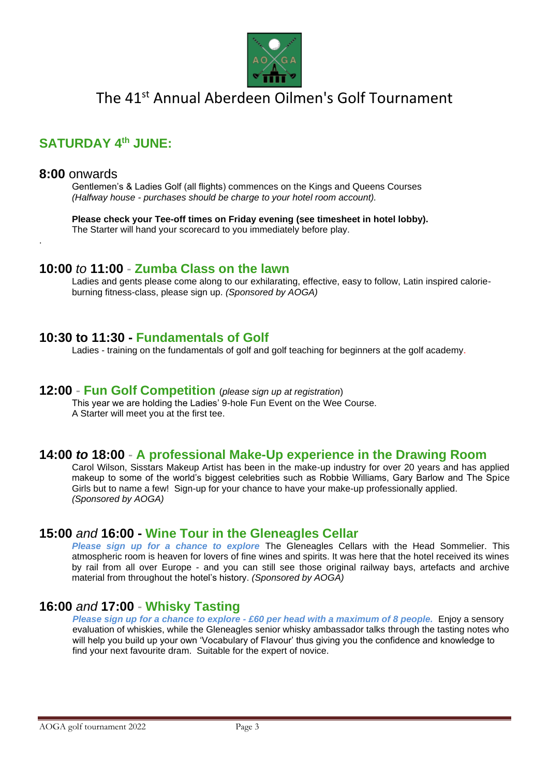

# **SATURDAY 4th JUNE:**

#### **8:00** onwards

.

Gentlemen's & Ladies Golf (all flights) commences on the Kings and Queens Courses *(Halfway house - purchases should be charge to your hotel room account).*

**Please check your Tee-off times on Friday evening (see timesheet in hotel lobby).** The Starter will hand your scorecard to you immediately before play.

### **10:00** *to* **11:00 - Zumba Class on the lawn**

Ladies and gents please come along to our exhilarating, effective, easy to follow, Latin inspired calorieburning fitness-class, please sign up. *(Sponsored by AOGA)* 

### **10:30 to 11:30 - Fundamentals of Golf**

Ladies - training on the fundamentals of golf and golf teaching for beginners at the golf academy.

### **12:00 - Fun Golf Competition** (*please sign up at registration*)

This year we are holding the Ladies' 9-hole Fun Event on the Wee Course. A Starter will meet you at the first tee.

### **14:00** *to* **18:00 - A professional Make-Up experience in the Drawing Room**

Carol Wilson, Sisstars Makeup Artist has been in the make-up industry for over 20 years and has applied makeup to some of the world's biggest celebrities such as Robbie Williams, Gary Barlow and The Spice Girls but to name a few! Sign-up for your chance to have your make-up professionally applied. *(Sponsored by AOGA)*

### **15:00** *and* **16:00 - Wine Tour in the Gleneagles Cellar**

*Please sign up for a chance to explore* The Gleneagles Cellars with the Head Sommelier. This atmospheric room is heaven for lovers of fine wines and spirits. It was here that the hotel received its wines by rail from all over Europe - and you can still see those original railway bays, artefacts and archive material from throughout the hotel's history. *(Sponsored by AOGA)* 

## **16:00** *and* **17:00 - Whisky Tasting**

*Please sign up for a chance to explore - £60 per head with a maximum of 8 people.* Enjoy a sensory evaluation of whiskies, while the Gleneagles senior whisky ambassador talks through the tasting notes who will help you build up your own 'Vocabulary of Flavour' thus giving you the confidence and knowledge to find your next favourite dram. Suitable for the expert of novice.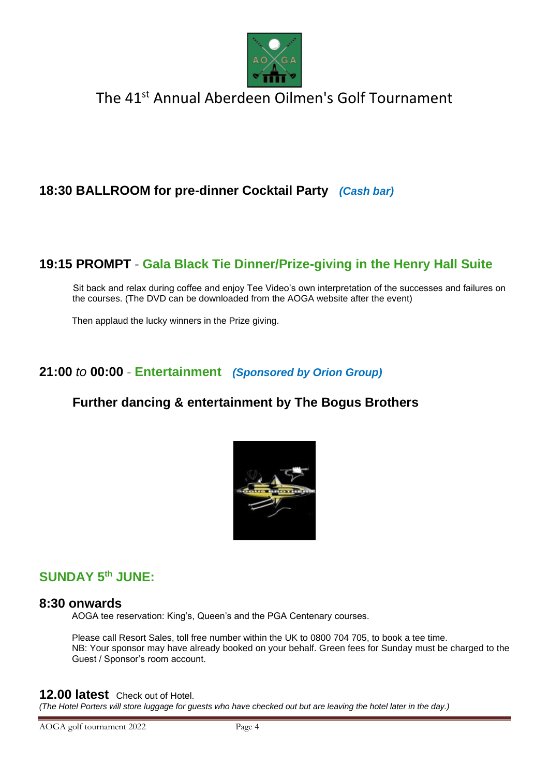

# **18:30 BALLROOM for pre-dinner Cocktail Party** *(Cash bar)*

## **19:15 PROMPT - Gala Black Tie Dinner/Prize-giving in the Henry Hall Suite**

Sit back and relax during coffee and enjoy Tee Video's own interpretation of the successes and failures on the courses. (The DVD can be downloaded from the AOGA website after the event)

Then applaud the lucky winners in the Prize giving.

## **21:00** *to* **00:00 - Entertainment** *(Sponsored by Orion Group)*

## **Further dancing & entertainment by The Bogus Brothers**



## **SUNDAY 5th JUNE:**

#### **8:30 onwards**

AOGA tee reservation: King's, Queen's and the PGA Centenary courses.

Please call Resort Sales, toll free number within the UK to 0800 704 705, to book a tee time. NB: Your sponsor may have already booked on your behalf. Green fees for Sunday must be charged to the Guest / Sponsor's room account.

#### **12.00 latest** Check out of Hotel.

*(The Hotel Porters will store luggage for guests who have checked out but are leaving the hotel later in the day.)*